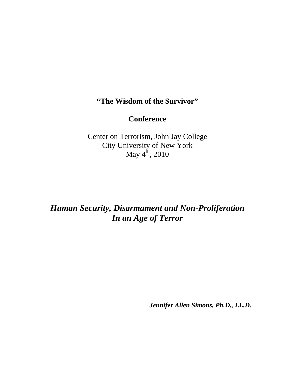## **"The Wisdom of the Survivor"**

## **Conference**

Center on Terrorism, John Jay College City University of New York May  $4^{\text{th}}$ , 2010

## *Human Security, Disarmament and Non-Proliferation In an Age of Terror*

*Jennifer Allen Simons, Ph.D., LL.D.*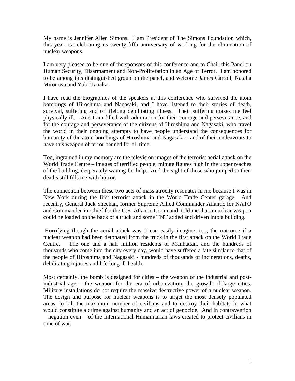My name is Jennifer Allen Simons. I am President of The Simons Foundation which, this year, is celebrating its twenty-fifth anniversary of working for the elimination of nuclear weapons.

I am very pleased to be one of the sponsors of this conference and to Chair this Panel on Human Security, Disarmament and Non-Proliferation in an Age of Terror. I am honored to be among this distinguished group on the panel, and welcome James Carroll, Natalia Mironova and Yuki Tanaka.

I have read the biographies of the speakers at this conference who survived the atom bombings of Hiroshima and Nagasaki, and I have listened to their stories of death, survival, suffering and of lifelong debilitating illness. Their suffering makes me feel physically ill. And I am filled with admiration for their courage and perseverance, and for the courage and perseverance of the citizens of Hiroshima and Nagasaki, who travel the world in their ongoing attempts to have people understand the consequences for humanity of the atom bombings of Hiroshima and Nagasaki – and of their endeavours to have this weapon of terror banned for all time.

Too, ingrained in my memory are the television images of the terrorist aerial attack on the World Trade Centre – images of terrified people, minute figures high in the upper reaches of the building, desperately waving for help. And the sight of those who jumped to their deaths still fills me with horror.

The connection between these two acts of mass atrocity resonates in me because I was in New York during the first terrorist attack in the World Trade Center garage. And recently, General Jack Sheehan, former Supreme Allied Commander Atlantic for NATO and Commander-in-Chief for the U.S. Atlantic Command, told me that a nuclear weapon could be loaded on the back of a truck and some TNT added and driven into a building.

 Horrifying though the aerial attack was, I can easily imagine, too, the outcome if a nuclear weapon had been detonated from the truck in the first attack on the World Trade Centre. The one and a half million residents of Manhattan, and the hundreds of thousands who come into the city every day, would have suffered a fate similar to that of the people of Hiroshima and Nagasaki - hundreds of thousands of incinerations, deaths, debilitating injuries and life-long ill-health.

Most certainly, the bomb is designed for cities – the weapon of the industrial and postindustrial age – the weapon for the era of urbanization, the growth of large cities. Military installations do not require the massive destructive power of a nuclear weapon. The design and purpose for nuclear weapons is to target the most densely populated areas, to kill the maximum number of civilians and to destroy their habitats in what would constitute a crime against humanity and an act of genocide. And in contravention – negation even – of the International Humanitarian laws created to protect civilians in time of war.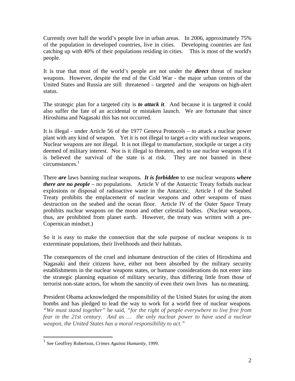Currently over half the world's people live in urban areas. In 2006, approximately 75% of the population in developed countries, live in cities. Developing countries are fast catching up with 40% of their populations residing in cities. This is most of the world's people.

It is true that most of the world's people are not under the *direct* threat of nuclear weapons. However, despite the end of the Cold War - the major urban centres of the United States and Russia are still threatened – targeted and the weapons on high-alert status.

The strategic plan for a targeted city is *to attack it*. And because it is targeted it could also suffer the fate of an accidental or mistaken launch. We are fortunate that since Hiroshima and Nagasaki this has not occurred.

It is illegal - under Article 56 of the 1977 Geneva Protocols – to attack a nuclear power plant with any kind of weapon. Yet it is not illegal to target a city with nuclear weapons. Nuclear weapons are not illegal. It is not illegal to manufacture, stockpile or target a city deemed of military interest. Nor is it illegal to threaten, and to use nuclear weapons if it is believed the survival of the state is at risk. They are not banned in these circumstances. $1$ 

There *are* laws banning nuclear weapons*. It is forbidden* to use nuclear weapons *where there are no people* – no populations. Article V of the Antarctic Treaty forbids nuclear explosions or disposal of radioactive waste in the Antarctic. Article I of the Seabed Treaty prohibits the emplacement of nuclear weapons and other weapons of mass destruction on the seabed and the ocean floor.Article IV of the Outer Space Treaty prohibits nuclear weapons on the moon and other celestial bodies. (Nuclear weapons, thus, are prohibited from planet earth. However, the treaty was written with a pre-Copernican mindset.)

So it is easy to make the connection that the sole purpose of nuclear weapons is to exterminate populations, their livelihoods and their habitats.

The consequences of the cruel and inhumane destruction of the cities of Hiroshima and Nagasaki and their citizens have, either not been absorbed by the military security establishments in the nuclear weapons states, or humane considerations do not enter into the strategic planning equation of military security, thus differing little from those of terrorist non-state actors, for whom the sanctity of even their own lives has no meaning.

President Obama acknowledged the responsibility of the United States for using the atom bombs and has pledged to lead the way to work for a world free of nuclear weapons*. "We must stand together"* he said, *"for the right of people everywhere to live free from fear in the 21st century. And as … the only nuclear power to have used a nuclear weapon, the United States has a moral responsibility to act."* 

 $\overline{a}$ 

<sup>1</sup> See Geoffrey Robertson, *Crimes Against Humanity*, 1999.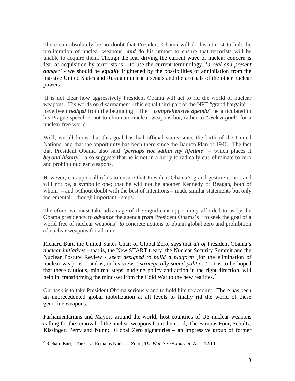There can absolutely be no doubt that President Obama will do his utmost to halt the proliferation of nuclear weapons; *and* do his utmost to ensure that terrorists will be unable to acquire them. Though the fear driving the current wave of nuclear concern is fear of acquisition by terrorists is – to use the current terminology, '*a real and present danger'* - we should be *equally* frightened by the possibilities of annihilation from the massive United States and Russian nuclear arsenals and the arsenals of the other nuclear powers.

 It is not clear how aggressively President Obama will act to rid the world of nuclear weapons. His words on disarmament - this equal third-part of the NPT "grand bargain" have been *hedged* from the beginning. The " *comprehensive agenda*" he articulated in his Prague speech is not to eliminate nuclear weapons but, rather to "*seek a goal"* for a nuclear free world.

Well, we all know that this goal has had official status since the birth of the United Nations, and that the opportunity has been there since the Baruch Plan of 1946. The fact that President Obama also said "*perhaps not within my lifetime*" – which places it *beyond history* – also suggests that he is not in a hurry to radically cut, eliminate to zero and prohibit nuclear weapons.

However, it is up to all of us to ensure that President Obama's grand gesture is not, and will not be, a symbolic one; that he will not be another Kennedy or Reagan, both of whom – and without doubt with the best of intentions – made similar statements but only incremental – though important - steps.

Therefore, we must take advantage of the significant opportunity afforded to us by the Obama presidency to *advance* the agenda *from* President Obama's " to seek the goal of a world free of nuclear weapons" *to* concrete actions to obtain global zero and prohibition of nuclear weapons for all time.

Richard Burt, the United States Chair of Global Zero, says that *all of* President Obama's *nuclear initiatives* - that is, the New START treaty, the Nuclear Security Summit and the Nuclear Posture Review - *seem designed to build a platform* [for the elimination of nuclear weapons – and is, in his view, *"strategically sound politics."* It is to be hoped that these cautious, minimal steps, nudging policy and action in the right direction, will help in transforming the mind-set from the Cold War to the new realities.<sup>2</sup>

Our task is to take President Obama seriously and to hold him to account. There has been an unprecedented global mobilization at all levels to finally rid the world of these genocide weapons.

Parliamentarians and Mayors around the world; host countries of US nuclear weapons calling for the removal of the nuclear weapons from their soil; The Famous Four, Schultz, Kissinger, Perry and Nunn; Global Zero signatories – an impressive group of former

 $\overline{a}$ 

<sup>2</sup> Richard Burt, "The Goal Remains Nuclear 'Zero', *The Wall Street Journal,* April 12/10